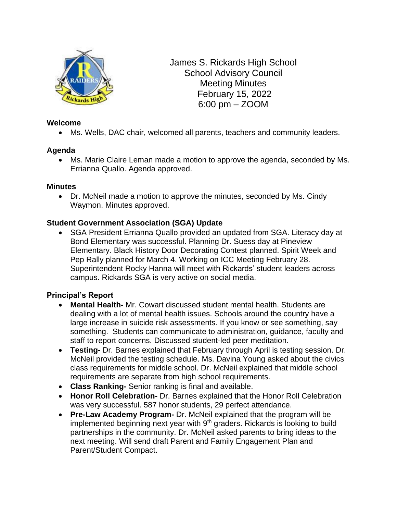

James S. Rickards High School School Advisory Council Meeting Minutes February 15, 2022 6:00 pm – ZOOM

## **Welcome**

• Ms. Wells, DAC chair, welcomed all parents, teachers and community leaders.

### **Agenda**

• Ms. Marie Claire Leman made a motion to approve the agenda, seconded by Ms. Errianna Quallo. Agenda approved.

#### **Minutes**

• Dr. McNeil made a motion to approve the minutes, seconded by Ms. Cindy Waymon. Minutes approved.

## **Student Government Association (SGA) Update**

• SGA President Errianna Quallo provided an updated from SGA. Literacy day at Bond Elementary was successful. Planning Dr. Suess day at Pineview Elementary. Black History Door Decorating Contest planned. Spirit Week and Pep Rally planned for March 4. Working on ICC Meeting February 28. Superintendent Rocky Hanna will meet with Rickards' student leaders across campus. Rickards SGA is very active on social media.

### **Principal's Report**

- **Mental Health-** Mr. Cowart discussed student mental health. Students are dealing with a lot of mental health issues. Schools around the country have a large increase in suicide risk assessments. If you know or see something, say something. Students can communicate to administration, guidance, faculty and staff to report concerns. Discussed student-led peer meditation.
- **Testing-** Dr. Barnes explained that February through April is testing session. Dr. McNeil provided the testing schedule. Ms. Davina Young asked about the civics class requirements for middle school. Dr. McNeil explained that middle school requirements are separate from high school requirements.
- **Class Ranking-** Senior ranking is final and available.
- **Honor Roll Celebration-** Dr. Barnes explained that the Honor Roll Celebration was very successful. 587 honor students, 29 perfect attendance.
- **Pre-Law Academy Program-** Dr. McNeil explained that the program will be implemented beginning next year with 9<sup>th</sup> graders. Rickards is looking to build partnerships in the community. Dr. McNeil asked parents to bring ideas to the next meeting. Will send draft Parent and Family Engagement Plan and Parent/Student Compact.